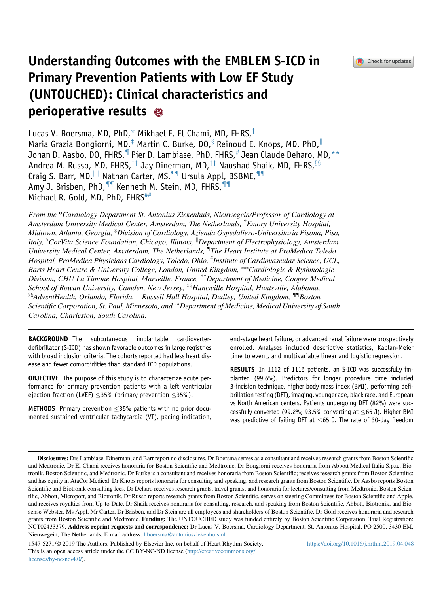# <span id="page-0-0"></span>Understanding Outcomes with the EMBLEM S-ICD in Primary Prevention Patients with Low EF Study (UNTOUCHED): Clinical characteristics and perioperative results

Lucas V. Boersma, MD, PhD,\* Mikhael F. El-Chami, MD, FHRS,<sup>†</sup> Maria Grazia Bongiorni, MD,<sup>‡</sup> Martin C. Burke, DO, $\frac{8}{3}$  Reinoud E. Knops, MD, PhD,  $\frac{1}{10}$ Johan D. Aasbo, DO, FHRS, Pier D. Lambiase, PhD, FHRS, <sup>#</sup> Jean Claude Deharo, MD, \*\* Andrea M. Russo, MD, FHRS, <sup>††</sup> Jay Dinerman, MD,  $\ddagger$ ‡ Naushad Shaik, MD, FHRS,  $\S$ <sup>5</sup> Craig S. Barr, MD, III Nathan Carter, MS, <sup>11</sup> Ursula Appl, BSBME, <sup>11</sup> Amy J. Brisben, PhD, <sup>11</sup> Kenneth M. Stein, MD, FHRS, <sup>11</sup> Michael R. Gold, MD, PhD, FHRS<sup>##</sup>

From the \*Cardiology Department St. Antonius Ziekenhuis, Nieuwegein/Professor of Cardiology at Amsterdam University Medical Center, Amsterdam, The Netherlands, † Emory University Hospital, Midtown, Atlanta, Georgia, ‡ Division of Cardiology, Azienda Ospedaliero-Universitaria Pisana, Pisa, Italy, <sup>§</sup>CorVita Science Foundation, Chicago, Illinois, <sup>||</sup>Department of Electrophysiology, Amsterdam University Medical Center, Amsterdam, The Netherlands, "The Heart Institute at ProMedica Toledo Hospital, ProMedica Physicians Cardiology, Toledo, Ohio, # Institute of Cardiovascular Science, UCL, Barts Heart Centre & University College, London, United Kingdom, \*\*Cardiologie & Rythmologie Division, CHU La Timone Hospital, Marseille, France, ††Department of Medicine, Cooper Medical School of Rowan University, Camden, New Jersey,  $\ddot{x}$  Huntsville Hospital, Huntsville, Alabama,  $^{88}$ AdventHealth, Orlando, Florida,  $^{11}$ Russell Hall Hospital, Dudley, United Kingdom,  $^{\P}$ Boston Scientific Corporation, St. Paul, Minnesota, and <sup>##</sup>Department of Medicine, Medical University of South Carolina, Charleston, South Carolina.

BACKGROUND The subcutaneous implantable cardioverterdefibrillator (S-ICD) has shown favorable outcomes in large registries with broad inclusion criteria. The cohorts reported had less heart disease and fewer comorbidities than standard ICD populations.

**OBJECTIVE** The purpose of this study is to characterize acute performance for primary prevention patients with a left ventricular ejection fraction (LVEF)  $\leq$ 35% (primary prevention  $\leq$ 35%).

**METHODS** Primary prevention  $\leq$ 35% patients with no prior documented sustained ventricular tachycardia (VT), pacing indication, end-stage heart failure, or advanced renal failure were prospectively enrolled. Analyses included descriptive statistics, Kaplan-Meier time to event, and multivariable linear and logistic regression.

RESULTS In 1112 of 1116 patients, an S-ICD was successfully implanted (99.6%). Predictors for longer procedure time included 3-incision technique, higher body mass index (BMI), performing defibrillation testing (DFT), imaging, younger age, black race, and European vs North American centers. Patients undergoing DFT (82%) were successfully converted (99.2%; 93.5% converting at  $\leq$ 65 J). Higher BMI was predictive of failing DFT at  $\leq$ 65 J. The rate of 30-day freedom

Disclosures: Drs Lambiase, Dinerman, and Barr report no disclosures. Dr Boersma serves as a consultant and receives research grants from Boston Scientific and Medtronic. Dr El-Chami receives honoraria for Boston Scientific and Medtronic. Dr Bongiorni receives honoraria from Abbott Medical Italia S.p.a., Biotronik, Boston Scientific, and Medtronic. Dr Burke is a consultant and receives honoraria from Boston Scientific; receives research grants from Boston Scientific; and has equity in AtaCor Medical. Dr Knops reports honoraria for consulting and speaking, and research grants from Boston Scientific. Dr Aasbo reports Boston Scientific and Biotronik consulting fees. Dr Deharo receives research grants, travel grants, and honoraria for lectures/consulting from Medtronic, Boston Scientific, Abbott, Microport, and Biotronik. Dr Russo reports research grants from Boston Scientific, serves on steering Committees for Boston Scientific and Apple, and receives royalties from Up-to-Date. Dr Shaik receives honoraria for consulting, research, and speaking from Boston Scientific, Abbott, Biotronik, and Biosense Webster. Ms Appl, Mr Carter, Dr Brisben, and Dr Stein are all employees and shareholders of Boston Scientific. Dr Gold receives honoraria and research grants from Boston Scientific and Medtronic. Funding: The UNTOUCHED study was funded entirely by Boston Scientific Corporation. Trial Registration: NCT02433379. Address reprint requests and correspondence: Dr Lucas V. Boersma, Cardiology Department, St. Antonius Hospital, PO 2500, 3430 EM, Nieuwegein, The Netherlands. E-mail address: [l.boersma@antoniusziekenhuis.nl](mailto:l.boersma@antoniusziekenhuis.nl).

<sup>1547-5271/© 2019</sup> The Authors. Published by Elsevier Inc. on behalf of Heart Rhythm Society. This is an open access article under the CC BY-NC-ND license [\(http://creativecommons.org/](http://creativecommons.org/licenses/by-nc-nd/4.0/) [licenses/by-nc-nd/4.0/\)](http://creativecommons.org/licenses/by-nc-nd/4.0/).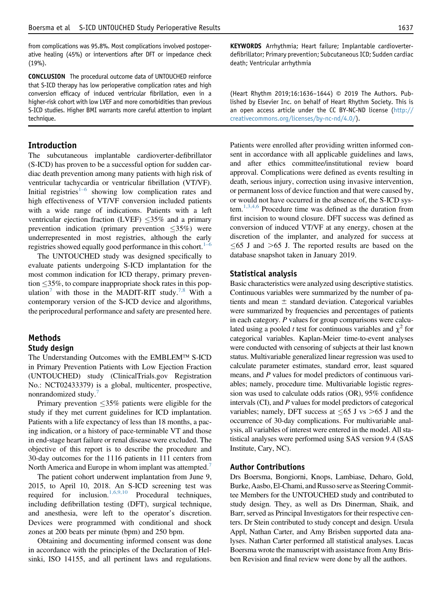from complications was 95.8%. Most complications involved postoperative healing (45%) or interventions after DFT or impedance check (19%).

CONCLUSION The procedural outcome data of UNTOUCHED reinforce that S-ICD therapy has low perioperative complication rates and high conversion efficacy of induced ventricular fibrillation, even in a higher-risk cohort with low LVEF and more comorbidities than previous S-ICD studies. Higher BMI warrants more careful attention to implant technique.

#### Introduction

The subcutaneous implantable cardioverter-defibrillator (S-ICD) has proven to be a successful option for sudden cardiac death prevention among many patients with high risk of ventricular tachycardia or ventricular fibrillation (VT/VF). Initial registries<sup>[1](#page-7-0)–6</sup> showing low complication rates and high effectiveness of VT/VF conversion included patients with a wide range of indications. Patients with a left ventricular ejection fraction (LVEF)  $\leq$ 35% and a primary prevention indication (primary prevention  $\leq$ 35%) were underrepresented in most registries, although the early registries showed equally good performance in this cohort. $1-6$ 

The UNTOUCHED study was designed specifically to evaluate patients undergoing S-ICD implantation for the most common indication for ICD therapy, primary prevention  $\leq$ 35%, to compare inappropriate shock rates in this pop-ulation<sup>[7](#page-7-0)</sup> with those in the MADIT-RIT study.<sup>[7,8](#page-7-0)</sup> With a contemporary version of the S-ICD device and algorithms, the periprocedural performance and safety are presented here.

# Methods

#### Study design

The Understanding Outcomes with the EMBLEM™ S-ICD in Primary Prevention Patients with Low Ejection Fraction (UNTOUCHED) study (ClinicalTrials.gov Registration No.: NCT02433379) is a global, multicenter, prospective, nonrandomized study.<sup>[7](#page-7-0)</sup>

Primary prevention  $\leq 35\%$  patients were eligible for the study if they met current guidelines for ICD implantation. Patients with a life expectancy of less than 18 months, a pacing indication, or a history of pace-terminable VT and those in end-stage heart failure or renal disease were excluded. The objective of this report is to describe the procedure and 30-day outcomes for the 1116 patients in 111 centers from North America and Europe in whom implant was attempted.<sup>[7](#page-7-0)</sup>

The patient cohort underwent implantation from June 9, 2015, to April 10, 2018. An S-ICD screening test was required for inclusion.<sup>[1,6,9,10](#page-7-0)</sup> Procedural techniques, including defibrillation testing (DFT), surgical technique, and anesthesia, were left to the operator's discretion. Devices were programmed with conditional and shock zones at 200 beats per minute (bpm) and 250 bpm.

Obtaining and documenting informed consent was done in accordance with the principles of the Declaration of Helsinki, ISO 14155, and all pertinent laws and regulations. KEYWORDS Arrhythmia; Heart failure; Implantable cardioverterdefibrillator; Primary prevention; Subcutaneous ICD; Sudden cardiac death; Ventricular arrhythmia

(Heart Rhythm 2019;16:1636–1644) © 2019 The Authors. Published by Elsevier Inc. on behalf of Heart Rhythm Society. This is an open access article under the CC BY-NC-ND license [\(http://](http://creativecommons.org/licenses/by-nc-nd/4.0/) [creativecommons.org/licenses/by-nc-nd/4.0/\)](http://creativecommons.org/licenses/by-nc-nd/4.0/).

Patients were enrolled after providing written informed consent in accordance with all applicable guidelines and laws, and after ethics committee/institutional review board approval. Complications were defined as events resulting in death, serious injury, correction using invasive intervention, or permanent loss of device function and that were caused by, or would not have occurred in the absence of, the S-ICD sys-tem.<sup>[1,3,4,6](#page-7-0)</sup> Procedure time was defined as the duration from first incision to wound closure. DFT success was defined as conversion of induced VT/VF at any energy, chosen at the discretion of the implanter, and analyzed for success at  $\leq 65$  J and  $> 65$  J. The reported results are based on the database snapshot taken in January 2019.

#### Statistical analysis

Basic characteristics were analyzed using descriptive statistics. Continuous variables were summarized by the number of patients and mean  $\pm$  standard deviation. Categorical variables were summarized by frequencies and percentages of patients in each category. P values for group comparisons were calculated using a pooled t test for continuous variables and  $\chi^2$  for categorical variables. Kaplan-Meier time-to-event analyses were conducted with censoring of subjects at their last known status. Multivariable generalized linear regression was used to calculate parameter estimates, standard error, least squared means, and P values for model predictors of continuous variables; namely, procedure time. Multivariable logistic regression was used to calculate odds ratios (OR), 95% confidence intervals (CI), and P values for model predictors of categorical variables; namely, DFT success at  $\leq 65$  J vs  $> 65$  J and the occurrence of 30-day complications. For multivariable analysis, all variables of interest were entered in the model. All statistical analyses were performed using SAS version 9.4 (SAS Institute, Cary, NC).

#### Author Contributions

Drs Boersma, Bongiorni, Knops, Lambiase, Deharo, Gold, Burke, Aasbo, El-Chami, and Russo serve as Steering Committee Members for the UNTOUCHED study and contributed to study design. They, as well as Drs Dinerman, Shaik, and Barr, served as Principal Investigators for their respective centers. Dr Stein contributed to study concept and design. Ursula Appl, Nathan Carter, and Amy Brisben supported data analyses. Nathan Carter performed all statistical analyses. Lucas Boersma wrote the manuscript with assistance from Amy Brisben Revision and final review were done by all the authors.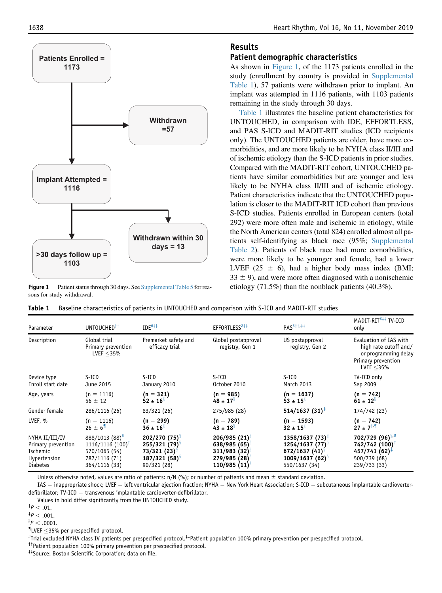

Figure 1 Patient status through 30 days. See [Supplemental Table 5](#page-0-0) for reasons for study withdrawal.

# Results

## Patient demographic characteristics

As shown in Figure 1, of the 1173 patients enrolled in the study (enrollment by country is provided in [Supplemental](#page-0-0) [Table 1\)](#page-0-0), 57 patients were withdrawn prior to implant. An implant was attempted in 1116 patients, with 1103 patients remaining in the study through 30 days.

Table 1 illustrates the baseline patient characteristics for UNTOUCHED, in comparison with IDE, EFFORTLESS, and PAS S-ICD and MADIT-RIT studies (ICD recipients only). The UNTOUCHED patients are older, have more comorbidities, and are more likely to be NYHA class II/III and of ischemic etiology than the S-ICD patients in prior studies. Compared with the MADIT-RIT cohort, UNTOUCHED patients have similar comorbidities but are younger and less likely to be NYHA class II/III and of ischemic etiology. Patient characteristics indicate that the UNTOUCHED population is closer to the MADIT-RIT ICD cohort than previous S-ICD studies. Patients enrolled in European centers (total 292) were more often male and ischemic in etiology, while the North American centers (total 824) enrolled almost all patients self-identifying as black race (95%; [Supplemental](#page-0-0) [Table 2](#page-0-0)). Patients of black race had more comorbidities, were more likely to be younger and female, had a lower LVEF (25  $\pm$  6), had a higher body mass index (BMI;  $33 \pm 9$ ), and were more often diagnosed with a nonischemic etiology (71.5%) than the nonblack patients (40.3%).

|  |  |  |  | Table 1 Baseline characteristics of patients in UNTOUCHED and comparison with S-ICD and MADIT-RIT studies |
|--|--|--|--|-----------------------------------------------------------------------------------------------------------|
|--|--|--|--|-----------------------------------------------------------------------------------------------------------|

| UNTOUCHED <sup>††</sup><br>Parameter |                                                    | $IDE^{6\ddagger\ddagger}$              | EFFORTLESS <sup>2‡‡</sup>              | PAS <sup>3††,‡‡</sup>              | MADIT-RIT <sup>8‡‡</sup> TV-ICD<br>only                                                                       |  |
|--------------------------------------|----------------------------------------------------|----------------------------------------|----------------------------------------|------------------------------------|---------------------------------------------------------------------------------------------------------------|--|
| Description                          | Global trial<br>Primary prevention<br>LVEF $<$ 35% | Premarket safety and<br>efficacy trial | Global postapproval<br>registry, Gen 1 | US postapproval<br>registry, Gen 2 | Evaluation of IAS with<br>high rate cutoff and/<br>or programming delay<br>Primary prevention<br>LVEF $<$ 35% |  |
| Device type                          | S-ICD                                              | S-ICD                                  | S-ICD                                  | S-ICD                              | TV-ICD only                                                                                                   |  |
| Enroll start date                    | June 2015                                          | January 2010                           | October 2010                           | March 2013                         | Sep 2009                                                                                                      |  |
| Age, years                           | $(n = 1116)$                                       | $(n = 321)$                            | $(n = 985)$                            | $(n = 1637)$                       | $(n = 742)$                                                                                                   |  |
|                                      | $56 \pm 12$                                        | $52 \pm 16^{\circ}$                    | $48 \pm 17^{\circ}$                    | $53 \pm 15^{\circ}$                | $61 \pm 12^{\circ}$                                                                                           |  |
| Gender female                        | 286/1116 (26)                                      | 83/321 (26)                            | 275/985 (28)                           | $514/1637(31)^{\ddagger}$          | 174/742 (23)                                                                                                  |  |
| LVEF, %                              | $(n = 1116)$                                       | $(n = 299)$                            | $(n = 789)$                            | $(n = 1593)$                       | $(n = 742)$                                                                                                   |  |
|                                      | $26 \pm 6$ <sup>1</sup>                            | $36 \pm 16^8$                          | $43 \pm 18$ <sup>3</sup>               | $32 \pm 15^{\circ}$                | $27 \pm 7^{8}$                                                                                                |  |
| NYHA II/III/IV                       | 888/1013 (88)#                                     | $202/270(75)^{8}$                      | $206/985(21)^8$                        | $1358/1637(73)^{8}$                | $702/729(96)^{8.4}$                                                                                           |  |
| Primary prevention                   | $1116/1116(100)$ <sup>†</sup>                      | $255/321(79)^8$                        | $638/985(65)^8$                        | $1254/1637(77)^8$                  | 742/742 (100)                                                                                                 |  |
| Ischemic                             | 570/1065 (54)                                      | $73/321(23)^{8}$                       | $311/983(32)^8$                        | 672/1637 (41) <sup>§</sup>         | $457/741(62)^{\ddagger}$                                                                                      |  |
| Hypertension                         | 787/1116 (71)                                      | 187/321 (58) <sup>§</sup>              | 279/985 (28) <sup>8</sup>              | $1009/1637(62)^{8}$                | 500/739 (68)                                                                                                  |  |
| <b>Diabetes</b>                      | 364/1116 (33)                                      | 90/321 (28)                            | $110/985(11)^{9}$                      | 550/1637 (34)                      | 239/733 (33)                                                                                                  |  |

Unless otherwise noted, values are ratio of patients:  $n/N$  (%); or number of patients and mean  $\pm$  standard deviation.

IAS = inappropriate shock; LVEF = left ventricular ejection fraction; NYHA = New York Heart Association; S-ICD = subcutaneous implantable cardioverterdefibrillator;  $TV-ICD =$  transvenous implantable cardioverter-defibrillator.

Values in bold differ significantly from the UNTOUCHED study.

 ${}^{8}P < .0001.$ 

 $$LVEF \leq 35\%$  per prespecified protocol.<br>#Trial excluded NYHA class IV patients

Trial excluded NYHA class IV patients per prespecified protocol.‡‡Patient population 100% primary prevention per prespecified protocol.

††Patient population 100% primary prevention per prespecified protocol.

‡‡Source: Boston Scientific Corporation; data on file.

 $^{\dagger}P < .01.$ 

 $^{\ddagger}P < .001.$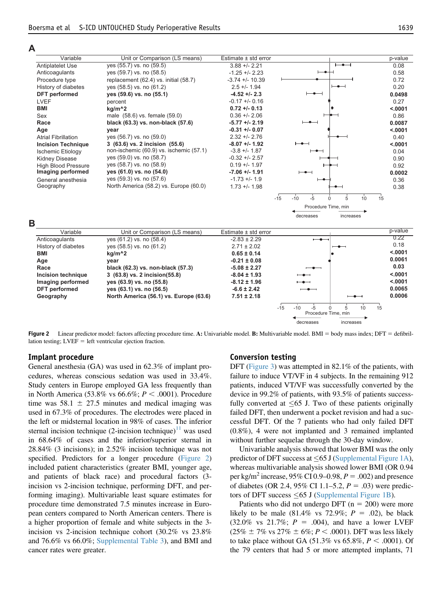#### **A**

| Variable                   | Unit or Comparison (LS means)           | Estimate ± std error     |                               | p-value |
|----------------------------|-----------------------------------------|--------------------------|-------------------------------|---------|
| Antiplatelet Use           | yes (55.7) vs. no (59.5)                | $3.88 + - 2.21$          | ╼                             | 0.08    |
| Anticoagulants             | yes (59.7) vs. no (58.5)                | $-1.25 + -2.23$          |                               | 0.58    |
| Procedure type             | replacement (62.4) vs. initial (58.7)   | $-3.74 + - 10.39$        |                               | 0.72    |
| History of diabetes        | yes (58.5) vs. no (61.2)                | $2.5 + - 1.94$           |                               | 0.20    |
| DFT performed              | yes (59.6) vs. no (55.1)                | $-4.52 + -2.3$           |                               | 0.0498  |
| <b>LVEF</b>                | percent                                 | $-0.17 + -0.16$          |                               | 0.27    |
| BMI                        | kg/m <sup>^2</sup>                      | $0.72 + 0.13$            |                               | < .0001 |
| Sex                        | male (58.6) vs. female (59.0)           | $0.36 + - 2.06$          |                               | 0.86    |
| Race                       | black (63.3) vs. non-black (57.6)       | $-5.77 + -2.19$          |                               | 0.0087  |
| Age                        | year                                    | $-0.31 + -0.07$          |                               | < .0001 |
| <b>Atrial Fibrillation</b> | yes (56.7) vs. no (59.0)                | $2.32 + 2.76$            |                               | 0.40    |
| <b>Incision Technique</b>  | 3 (63.6) vs. 2 incision (55.6)          | $-8.07 + -1.92$          |                               | < .0001 |
| <b>Ischemic Etiology</b>   | non-ischemic (60.9) vs. ischemic (57.1) | $-3.8 + -1.87$           |                               | 0.04    |
| <b>Kidney Disease</b>      | yes (59.0) vs. no (58.7)                | $-0.32 + -2.57$          |                               | 0.90    |
| <b>High Blood Pressure</b> | yes (58.7) vs. no (58.9)                | $0.19 + - 1.97$          |                               | 0.92    |
| Imaging performed          | yes (61.0) vs. no (54.0)                | $-7.06 +/- 1.91$         |                               | 0.0002  |
| General anesthesia         | yes (59.3) vs. no (57.6)                | $-1.73 + -1.9$           |                               | 0.36    |
| Geography                  | North America (58.2) vs. Europe (60.0)  | $1.73 + 1.98$            |                               | 0.38    |
|                            |                                         | $-15$                    | $-10$<br>$-5$<br>5<br>10<br>O | 15      |
|                            |                                         |                          | Procedure Time, min           |         |
|                            |                                         |                          | decreases<br>increases        |         |
| B                          |                                         |                          |                               |         |
| Variable                   | Unit or Comparison (LS means)           | Estimate $\pm$ std error |                               | p-value |
| Anticoagulants             | yes (61.2) vs. no (58.4)                | $-2.83 \pm 2.29$         | ——————————                    | 0.22    |
| History of dishatos        | 100(240)                                | $271 + 200$              |                               | 0.18    |

#### History of diabetes yes (58.5) vs. no (61.2) 2.71 ± 2.02 0.18 **BMI kg/m^2 0.65 ± 0.14 <.0001 Age year -0.21 ± 0.08 0.0061 Race black (62.3) vs. non-black (57.3)**  $-5.08 \pm 2.27$   $\rightarrow$ **Incision technique 3 (63.8) vs. 2 incision(55.8) -8.04 ± 1.93 <.0001 Imaging performed yes (63.9) vs. no (55.8) -8.12 ± 1.96 <.0001 DFT performed yes (63.1) vs. no (56.5) -6.6 ± 2.42 0.0065** Geography **North America (56.1)** vs. Europe (63.6) -15 -10 -5 0 5 10 15 Procedure Time, min

Figure 2 Linear predictor model: factors affecting procedure time. A: Univariable model. B: Multivariable model. BMI = body mass index; DFT = defibrillation testing;  $LVEF = left$  ventricular ejection fraction.

#### Implant procedure

General anesthesia (GA) was used in 62.3% of implant procedures, whereas conscious sedation was used in 33.4%. Study centers in Europe employed GA less frequently than in North America (53.8% vs 66.6%;  $P < .0001$ ). Procedure time was  $58.1 \pm 27.5$  minutes and medical imaging was used in 67.3% of procedures. The electrodes were placed in the left or midsternal location in 98% of cases. The inferior sternal incision technique  $(2\text{-incision technique})^{\perp}$  was used in 68.64% of cases and the inferior/superior sternal in 28.84% (3 incisions); in 2.52% incision technique was not specified. Predictors for a longer procedure (Figure 2) included patient characteristics (greater BMI, younger age, and patients of black race) and procedural factors (3 incision vs 2-incision technique, performing DFT, and performing imaging). Multivariable least square estimates for procedure time demonstrated 7.5 minutes increase in European centers compared to North American centers. There is a higher proportion of female and white subjects in the 3 incision vs 2-incision technique cohort (30.2% vs 23.8% and 76.6% vs 66.0%; [Supplemental Table 3\)](#page-0-0), and BMI and cancer rates were greater.

#### Conversion testing

DFT [\(Figure 3\)](#page-4-0) was attempted in 82.1% of the patients, with failure to induce VT/VF in 4 subjects. In the remaining 912 patients, induced VT/VF was successfully converted by the device in 99.2% of patients, with 93.5% of patients successfully converted at  $\leq 65$  J. Two of these patients originally failed DFT, then underwent a pocket revision and had a successful DFT. Of the 7 patients who had only failed DFT (0.8%), 4 were not implanted and 3 remained implanted without further sequelae through the 30-day window.

decreases increases

Univariable analysis showed that lower BMI was the only predictor of DFT success at  $\leq 65$  J [\(Supplemental Figure 1A](#page-0-0)), whereas multivariable analysis showed lower BMI (OR 0.94 per kg/m<sup>2</sup> increase, 95% CI 0.9–0.98,  $P = .002$ ) and presence of diabetes (OR 2.4, 95% CI 1.1–5.2,  $P = .03$ ) were predictors of DFT success  $\leq 65$  J ([Supplemental Figure 1B](#page-0-0)).

Patients who did not undergo DFT ( $n = 200$ ) were more likely to be male  $(81.4\% \text{ vs } 72.9\%; P = .02)$ , be black  $(32.0\% \text{ vs } 21.7\%; P = .004)$ , and have a lower LVEF  $(25\% \pm 7\% \text{ vs } 27\% \pm 6\%; P < .0001)$ . DFT was less likely to take place without GA (51.3% vs 65.8%,  $P < .0001$ ). Of the 79 centers that had 5 or more attempted implants, 71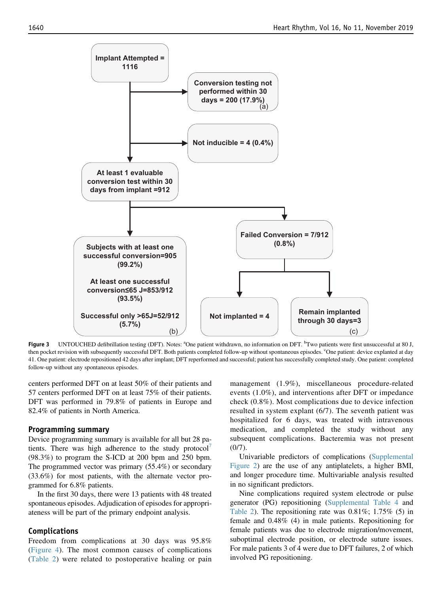<span id="page-4-0"></span>

Figure 3 UNTOUCHED defibrillation testing (DFT). Notes: <sup>a</sup>One patient withdrawn, no information on DFT. <sup>b</sup>Two patients were first unsuccessful at 80 J, then pocket revision with subsequently successful DFT. Both patients completed follow-up without spontaneous episodes. <sup>c</sup>One patient: device explanted at day 41. One patient: electrode repositioned 42 days after implant; DFT reperformed and successful; patient has successfully completed study. One patient: completed follow-up without any spontaneous episodes.

centers performed DFT on at least 50% of their patients and 57 centers performed DFT on at least 75% of their patients. DFT was performed in 79.8% of patients in Europe and 82.4% of patients in North America.

#### Programming summary

Device programming summary is available for all but 28 pa-tients. There was high adherence to the study protocol<sup>[7](#page-7-0)</sup> (98.3%) to program the S-ICD at 200 bpm and 250 bpm. The programmed vector was primary (55.4%) or secondary (33.6%) for most patients, with the alternate vector programmed for 6.8% patients.

In the first 30 days, there were 13 patients with 48 treated spontaneous episodes. Adjudication of episodes for appropriateness will be part of the primary endpoint analysis.

#### Complications

Freedom from complications at 30 days was 95.8% [\(Figure 4](#page-5-0)). The most common causes of complications [\(Table 2](#page-6-0)) were related to postoperative healing or pain management (1.9%), miscellaneous procedure-related events (1.0%), and interventions after DFT or impedance check (0.8%). Most complications due to device infection resulted in system explant (6/7). The seventh patient was hospitalized for 6 days, was treated with intravenous medication, and completed the study without any subsequent complications. Bacteremia was not present  $(0/7)$ .

Univariable predictors of complications ([Supplemental](#page-0-0) [Figure 2](#page-0-0)) are the use of any antiplatelets, a higher BMI, and longer procedure time. Multivariable analysis resulted in no significant predictors.

Nine complications required system electrode or pulse generator (PG) repositioning [\(Supplemental Table 4](#page-0-0) and [Table 2](#page-6-0)). The repositioning rate was  $0.81\%$ ;  $1.75\%$  (5) in female and 0.48% (4) in male patients. Repositioning for female patients was due to electrode migration/movement, suboptimal electrode position, or electrode suture issues. For male patients 3 of 4 were due to DFT failures, 2 of which involved PG repositioning.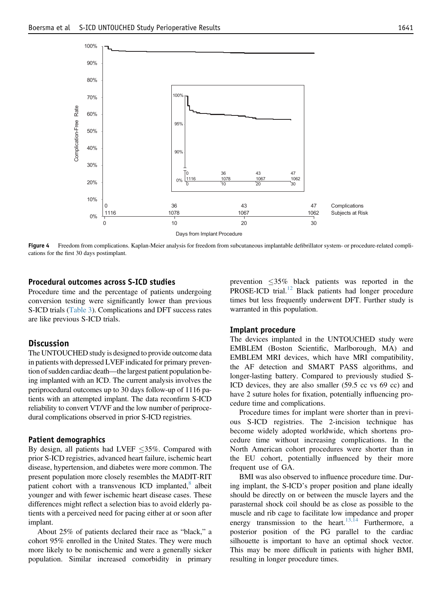<span id="page-5-0"></span>

Figure 4 Freedom from complications. Kaplan-Meier analysis for freedom from subcutaneous implantable defibrillator system- or procedure-related complications for the first 30 days postimplant.

#### Procedural outcomes across S-ICD studies

Procedure time and the percentage of patients undergoing conversion testing were significantly lower than previous S-ICD trials [\(Table 3\)](#page-6-0). Complications and DFT success rates are like previous S-ICD trials.

#### **Discussion**

The UNTOUCHED study is designed to provide outcome data in patients with depressed LVEF indicated for primary prevention of sudden cardiac death—the largest patient population being implanted with an ICD. The current analysis involves the periprocedural outcomes up to 30 days follow-up of 1116 patients with an attempted implant. The data reconfirm S-ICD reliability to convert VT/VF and the low number of periprocedural complications observed in prior S-ICD registries.

#### Patient demographics

By design, all patients had LVEF  $\leq$ 35%. Compared with prior S-ICD registries, advanced heart failure, ischemic heart disease, hypertension, and diabetes were more common. The present population more closely resembles the MADIT-RIT patient cohort with a transvenous ICD implanted, $\delta$  albeit younger and with fewer ischemic heart disease cases. These differences might reflect a selection bias to avoid elderly patients with a perceived need for pacing either at or soon after implant.

About 25% of patients declared their race as "black," a cohort 95% enrolled in the United States. They were much more likely to be nonischemic and were a generally sicker population. Similar increased comorbidity in primary

prevention  $\leq 35\%$  black patients was reported in the PROSE-ICD trial.<sup>[12](#page-7-0)</sup> Black patients had longer procedure times but less frequently underwent DFT. Further study is warranted in this population.

#### Implant procedure

The devices implanted in the UNTOUCHED study were EMBLEM (Boston Scientific, Marlborough, MA) and EMBLEM MRI devices, which have MRI compatibility, the AF detection and SMART PASS algorithms, and longer-lasting battery. Compared to previously studied S-ICD devices, they are also smaller (59.5 cc vs 69 cc) and have 2 suture holes for fixation, potentially influencing procedure time and complications.

Procedure times for implant were shorter than in previous S-ICD registries. The 2-incision technique has become widely adopted worldwide, which shortens procedure time without increasing complications. In the North American cohort procedures were shorter than in the EU cohort, potentially influenced by their more frequent use of GA.

BMI was also observed to influence procedure time. During implant, the S-ICD's proper position and plane ideally should be directly on or between the muscle layers and the parasternal shock coil should be as close as possible to the muscle and rib cage to facilitate low impedance and proper energy transmission to the heart.<sup>[13,14](#page-8-0)</sup> Furthermore, a posterior position of the PG parallel to the cardiac silhouette is important to have an optimal shock vector. This may be more difficult in patients with higher BMI, resulting in longer procedure times.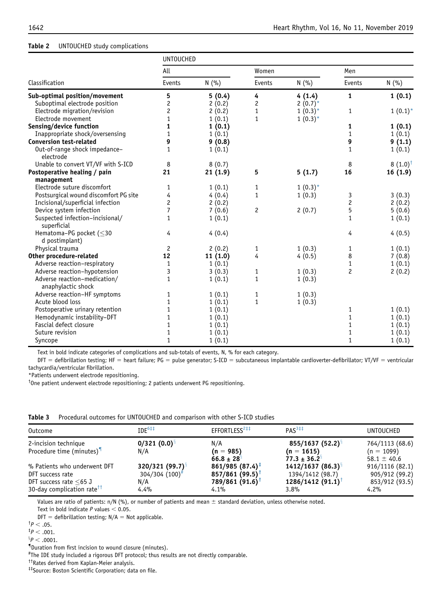#### <span id="page-6-0"></span>Table 2 UNTOUCHED study complications

|                                                    | <b>UNTOUCHED</b> |         |              |            |                |                    |  |  |
|----------------------------------------------------|------------------|---------|--------------|------------|----------------|--------------------|--|--|
|                                                    | All              |         | Women        |            | Men            |                    |  |  |
| Classification                                     | Events           | N(%)    | Events       | N(%)       | Events         | N(%)               |  |  |
| Sub-optimal position/movement                      | 5                | 5(0.4)  | 4            | 4(1.4)     | $\mathbf{1}$   | 1(0.1)             |  |  |
| Suboptimal electrode position                      | 2                | 2(0.2)  | 2            | $2(0.7)^*$ |                |                    |  |  |
| Electrode migration/revision                       | 2                | 2(0.2)  | $\mathbf{1}$ | $1(0.3)^*$ | $\mathbf{1}$   | $1(0.1)^*$         |  |  |
| Electrode movement                                 | 1                | 1(0.1)  | $\mathbf{1}$ | $1(0.3)^*$ |                |                    |  |  |
| Sensing/device function                            | 1                | 1(0.1)  |              |            | 1              | 1(0.1)             |  |  |
| Inappropriate shock/oversensing                    | $\mathbf{1}$     | 1(0.1)  |              |            | 1              | 1(0.1)             |  |  |
| <b>Conversion test-related</b>                     | 9                | 9(0.8)  |              |            | 9              | 9(1.1)             |  |  |
| Out-of-range shock impedance-<br>electrode         | $\mathbf{1}$     | 1(0.1)  |              |            | $\mathbf{1}$   | 1(0.1)             |  |  |
| Unable to convert VT/VF with S-ICD                 | 8                | 8(0.7)  |              |            | 8              | $8(1.0)^{\dagger}$ |  |  |
| Postoperative healing / pain                       | 21               | 21(1.9) | 5            | 5(1.7)     | 16             | 16(1.9)            |  |  |
| management                                         |                  |         |              |            |                |                    |  |  |
| Electrode suture discomfort                        | 1                | 1(0.1)  | 1            | $1(0.3)^*$ |                |                    |  |  |
| Postsurgical wound discomfort PG site              | 4                | 4(0.4)  | 1            | 1(0.3)     | 3              | 3(0.3)             |  |  |
| Incisional/superficial infection                   | $\overline{c}$   | 2(0.2)  |              |            | $\overline{c}$ | 2(0.2)             |  |  |
| Device system infection                            | $\overline{7}$   | 7(0.6)  | 2            | 2(0.7)     | 5              | 5(0.6)             |  |  |
| Suspected infection-incisional/<br>superficial     | $\mathbf{1}$     | 1(0.1)  |              |            | $\mathbf{1}$   | 1(0.1)             |  |  |
| Hematoma-PG pocket (≤30<br>d postimplant)          | 4                | 4(0.4)  |              |            | 4              | 4(0.5)             |  |  |
| Physical trauma                                    | $\overline{c}$   | 2(0.2)  | 1            | 1(0.3)     | 1              | 1(0.1)             |  |  |
| Other procedure-related                            | 12               | 11(1.0) | 4            | 4(0.5)     | 8              | 7(0.8)             |  |  |
| Adverse reaction-respiratory                       | 1                | 1(0.1)  |              |            | $\mathbf{1}$   | 1(0.1)             |  |  |
| Adverse reaction-hypotension                       | 3                | 3(0.3)  | 1            | 1(0.3)     | $\overline{c}$ | 2(0.2)             |  |  |
| Adverse reaction-medication/<br>anaphylactic shock | 1                | 1(0.1)  | $\mathbf{1}$ | 1(0.3)     |                |                    |  |  |
| Adverse reaction-HF symptoms                       | 1                | 1(0.1)  | 1            | 1(0.3)     |                |                    |  |  |
| Acute blood loss                                   | 1                | 1(0.1)  | $\mathbf{1}$ | 1(0.3)     |                |                    |  |  |
| Postoperative urinary retention                    | 1                | 1(0.1)  |              |            | 1              | 1(0.1)             |  |  |
| Hemodynamic instability-DFT                        | 1                | 1(0.1)  |              |            | 1              | 1(0.1)             |  |  |
| Fascial defect closure                             | 1                | 1(0.1)  |              |            | 1              | 1(0.1)             |  |  |
| Suture revision                                    | 1                | 1(0.1)  |              |            | 1              | 1(0.1)             |  |  |
| Syncope                                            | 1                | 1(0.1)  |              |            | $\mathbf{1}$   | 1(0.1)             |  |  |

Text in bold indicate categories of complications and sub-totals of events, N, % for each category.

 $DFT =$  defibrillation testing; HF = heart failure; PG = pulse generator; S-ICD = subcutaneous implantable cardioverter-defibrillator; VT/VF = ventricular tachycardia/ventricular fibrillation.

\*Patients underwent electrode repositioning.

† One patient underwent electrode repositioning; 2 patients underwent PG repositioning.

|  |  |  |  | <b>Table 3</b> Procedural outcomes for UNTOUCHED and comparison with other S-ICD studies |  |  |  |  |  |  |
|--|--|--|--|------------------------------------------------------------------------------------------|--|--|--|--|--|--|
|--|--|--|--|------------------------------------------------------------------------------------------|--|--|--|--|--|--|

| Outcome                                | IDE <sup>6##</sup>           | EFFORTLESS <sup>2‡‡</sup>  | PAS <sup>3‡‡</sup>             | <b>UNTOUCHED</b> |
|----------------------------------------|------------------------------|----------------------------|--------------------------------|------------------|
| 2-incision technique                   | $0/321(0.0)^8$               | N/A                        | $855/1637(52.2)^8$             | 764/1113 (68.6)  |
| Procedure time (minutes) <sup>1</sup>  | N/A                          | $(n = 985)$                | $(n = 1615)$                   | $(n = 1099)$     |
|                                        |                              | $66.8 \pm 28$ <sup>9</sup> | $77.3 \pm 36.2^{\circ}$        | 58.1 $\pm$ 40.6  |
| % Patients who underwent DFT           | $320/321(99.7)^8$            | $861/985(87.4)^{\ddagger}$ | 1412/1637(86.3)                | 916/1116 (82.1)  |
| DFT success rate                       | $304/304$ (100) <sup>#</sup> | 857/861(99.5)              | 1394/1412 (98.7)               | 905/912 (99.2)   |
| DFT success rate $\leq 65$ J           | N/A                          | 789/861 (91.6)             | $1286/1412(91.1)$ <sup>T</sup> | 853/912 (93.5)   |
| 30-day complication rate <sup>††</sup> | 4.4%                         | 4.1%                       | 3.8%                           | 4.2%             |

Values are ratio of patients:  $n/N$  (%), or number of patients and mean  $\pm$  standard deviation, unless otherwise noted.

Text in bold indicate  $P$  values  $<$  0.05.

 $DFT =$  defibrillation testing; N/A = Not applicable.

- $^{\dagger}P < .05.$
- $^{\ddagger}P < .001.$

 ${}^{8}P$   $<$  .0001.

The IDE study included a rigorous DFT protocol; thus results are not directly comparable.

††Rates derived from Kaplan-Meier analysis.

‡‡Source: Boston Scientific Corporation; data on file.

<sup>{</sup> Duration from first incision to wound closure (minutes). #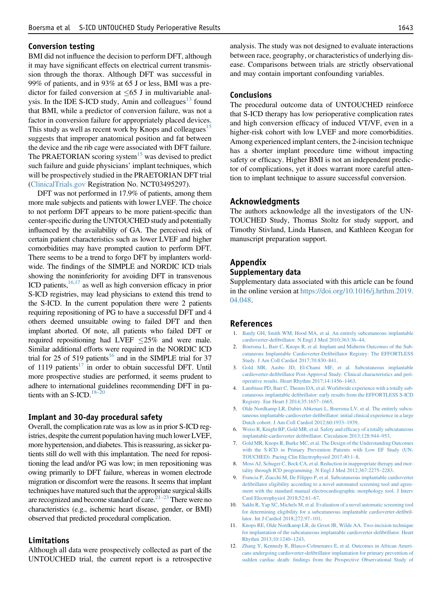#### <span id="page-7-0"></span>Conversion testing

BMI did not influence the decision to perform DFT, although it may have significant effects on electrical current transmission through the thorax. Although DFT was successful in 99% of patients, and in 93% at 65 J or less, BMI was a predictor for failed conversion at  $\leq 65$  J in multivariable analysis. In the IDE S-ICD study, Amin and colleagues $13$  found that BMI, while a predictor of conversion failure, was not a factor in conversion failure for appropriately placed devices. This study as well as recent work by Knops and colleagues<sup>[15](#page-8-0)</sup> suggests that improper anatomical position and fat between the device and the rib cage were associated with DFT failure. The PRAETORIAN scoring system<sup>[15](#page-8-0)</sup> was devised to predict such failure and guide physicians' implant techniques, which will be prospectively studied in the PRAETORIAN DFT trial [\(ClinicalTrials.gov](http://ClinicalTrials.gov) Registration No. NCT03495297).

DFT was not performed in 17.9% of patients, among them more male subjects and patients with lower LVEF. The choice to not perform DFT appears to be more patient-specific than center-specific during the UNTOUCHED study and potentially influenced by the availability of GA. The perceived risk of certain patient characteristics such as lower LVEF and higher comorbidities may have prompted caution to perform DFT. There seems to be a trend to forgo DFT by implanters worldwide. The findings of the SIMPLE and NORDIC ICD trials showing the noninferiority for avoiding DFT in transvenous ICD patients, $16,17$  as well as high conversion efficacy in prior S-ICD registries, may lead physicians to extend this trend to the S-ICD. In the current population there were 2 patients requiring repositioning of PG to have a successful DFT and 4 others deemed unsuitable owing to failed DFT and then implant aborted. Of note, all patients who failed DFT or required repositioning had LVEF  $\leq$ 25% and were male. Similar additional efforts were required in the NORDIC ICD trial for 25 of 519 patients<sup>[16](#page-8-0)</sup> and in the SIMPLE trial for 37 of 1119 patients $17$  in order to obtain successful DFT. Until more prospective studies are performed, it seems prudent to adhere to international guidelines recommending DFT in patients with an  $S$ -ICD.<sup>[18](#page-8-0)–</sup>

#### Implant and 30-day procedural safety

Overall, the complication rate was as low as in prior S-ICD registries, despite the current population having much lower LVEF, more hypertension, and diabetes. This is reassuring, as sicker patients still do well with this implantation. The need for repositioning the lead and/or PG was low; in men repositioning was owing primarily to DFT failure, whereas in women electrode migration or discomfort were the reasons. It seems that implant techniques have matured such that the appropriate surgical skills are recognized and become standard of care. $21-23$  There were no characteristics (e.g., ischemic heart disease, gender, or BMI) observed that predicted procedural complication.

#### Limitations

Although all data were prospectively collected as part of the UNTOUCHED trial, the current report is a retrospective analysis. The study was not designed to evaluate interactions between race, geography, or characteristics of underlying disease. Comparisons between trials are strictly observational and may contain important confounding variables.

#### Conclusions

The procedural outcome data of UNTOUCHED reinforce that S-ICD therapy has low perioperative complication rates and high conversion efficacy of induced VT/VF, even in a higher-risk cohort with low LVEF and more comorbidities. Among experienced implant centers, the 2-incision technique has a shorter implant procedure time without impacting safety or efficacy. Higher BMI is not an independent predictor of complications, yet it does warrant more careful attention to implant technique to assure successful conversion.

#### Acknowledgments

The authors acknowledge all the investigators of the UN-TOUCHED Study, Thomas Stoltz for study support, and Timothy Stivland, Linda Hansen, and Kathleen Keogan for manuscript preparation support.

### Appendix

#### Supplementary data

Supplementary data associated with this article can be found in the online version at [https://doi.org/10.1016/j.hrthm.2019.](https://doi.org/10.1016/j.hrthm.2019.04.048) [04.048](https://doi.org/10.1016/j.hrthm.2019.04.048).

#### References

- 1. [Bardy GH, Smith WM, Hood MA, et al. An entirely subcutaneous implantable](http://refhub.elsevier.com/S1547-5271(19)30431-X/sref1) cardioverter-defi[brillator. N Engl J Med 2010;363:36](http://refhub.elsevier.com/S1547-5271(19)30431-X/sref1)–44.
- 2. [Boersma L, Barr C, Knops R, et al. Implant and Midterm Outcomes of the Sub](http://refhub.elsevier.com/S1547-5271(19)30431-X/sref2)[cutaneous Implantable Cardioverter-De](http://refhub.elsevier.com/S1547-5271(19)30431-X/sref2)fibrillator Registry: The EFFORTLESS [Study. J Am Coll Cardiol 2017;70:830](http://refhub.elsevier.com/S1547-5271(19)30431-X/sref2)–841.
- 3. [Gold MR, Aasbo JD, El-Chami MF, et al. Subcutaneous implantable](http://refhub.elsevier.com/S1547-5271(19)30431-X/sref3) cardioverter-defi[brillator Post-Approval Study: Clinical characteristics and peri](http://refhub.elsevier.com/S1547-5271(19)30431-X/sref3)[operative results. Heart Rhythm 2017;14:1456](http://refhub.elsevier.com/S1547-5271(19)30431-X/sref3)–1463.
- 4. [Lambiase PD, Barr C, Theuns DA, et al. Worldwide experience with a totally sub](http://refhub.elsevier.com/S1547-5271(19)30431-X/sref4)cutaneous implantable defi[brillator: early results from the EFFORTLESS S-ICD](http://refhub.elsevier.com/S1547-5271(19)30431-X/sref4) [Registry. Eur Heart J 2014;35:1657](http://refhub.elsevier.com/S1547-5271(19)30431-X/sref4)–1665.
- 5. [Olde Nordkamp LR, Dabiri Abkenari L, Boersma LV, et al. The entirely subcu](http://refhub.elsevier.com/S1547-5271(19)30431-X/sref5)taneous implantable cardioverter-defi[brillator: initial clinical experience in a large](http://refhub.elsevier.com/S1547-5271(19)30431-X/sref5) [Dutch cohort. J Am Coll Cardiol 2012;60:1933](http://refhub.elsevier.com/S1547-5271(19)30431-X/sref5)–1939.
- 6. [Weiss R, Knight BP, Gold MR, et al. Safety and ef](http://refhub.elsevier.com/S1547-5271(19)30431-X/sref6)ficacy of a totally subcutaneous implantable-cardioverter defi[brillator. Circulation 2013;128:944](http://refhub.elsevier.com/S1547-5271(19)30431-X/sref6)–953.
- 7. [Gold MR, Knops R, Burke MC, et al. The Design of the Understanding Outcomes](http://refhub.elsevier.com/S1547-5271(19)30431-X/sref7) [with the S-ICD in Primary Prevention Patients with Low EF Study \(UN-](http://refhub.elsevier.com/S1547-5271(19)30431-X/sref7)[TOUCHED\). Pacing Clin Electrophysiol 2017;40:1](http://refhub.elsevier.com/S1547-5271(19)30431-X/sref7)–8.
- 8. [Moss AJ, Schuger C, Beck CA, et al. Reduction in inappropriate therapy and mor](http://refhub.elsevier.com/S1547-5271(19)30431-X/sref8)[tality through ICD programming. N Engl J Med 2012;367:2275](http://refhub.elsevier.com/S1547-5271(19)30431-X/sref8)–2283.
- 9. [Francia P, Ziacchi M, De Filippo P, et al. Subcutaneous implantable cardioverter](http://refhub.elsevier.com/S1547-5271(19)30431-X/sref9) defi[brillator eligibility according to a novel automated screening tool and agree](http://refhub.elsevier.com/S1547-5271(19)30431-X/sref9)[ment with the standard manual electrocardiographic morphology tool. J Interv](http://refhub.elsevier.com/S1547-5271(19)30431-X/sref9) [Card Electrophysiol 2018;52:61](http://refhub.elsevier.com/S1547-5271(19)30431-X/sref9)–67.
- 10. [Sakhi R, Yap SC, Michels M, et al. Evaluation of a novel automatic screening tool](http://refhub.elsevier.com/S1547-5271(19)30431-X/sref10) [for determining eligibility for a subcutaneous implantable cardioverter-de](http://refhub.elsevier.com/S1547-5271(19)30431-X/sref10)fibril[lator. Int J Cardiol 2018;272:97](http://refhub.elsevier.com/S1547-5271(19)30431-X/sref10)–101.
- 11. [Knops RE, Olde Nordkamp LR, de Groot JR, Wilde AA. Two-incision technique](http://refhub.elsevier.com/S1547-5271(19)30431-X/sref11) [for implantation of the subcutaneous implantable cardioverter-de](http://refhub.elsevier.com/S1547-5271(19)30431-X/sref11)fibrillator. Heart [Rhythm 2013;10:1240](http://refhub.elsevier.com/S1547-5271(19)30431-X/sref11)–1243.
- 12. [Zhang Y, Kennedy R, Blasco-Colmenares E, et al. Outcomes in African Ameri](http://refhub.elsevier.com/S1547-5271(19)30431-X/sref12)cans undergoing cardioverter-defi[brillator implantation for primary prevention of](http://refhub.elsevier.com/S1547-5271(19)30431-X/sref12) sudden cardiac death: fi[ndings from the Prospective Observational Study of](http://refhub.elsevier.com/S1547-5271(19)30431-X/sref12)